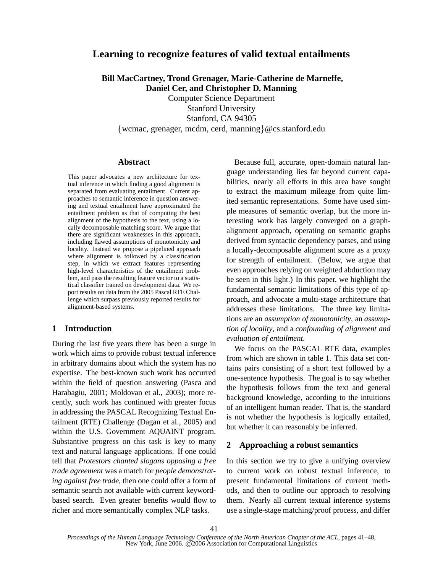# **Learning to recognize features of valid textual entailments**

**Bill MacCartney, Trond Grenager, Marie-Catherine de Marneffe, Daniel Cer, and Christopher D. Manning**

> Computer Science Department Stanford University Stanford, CA 94305

{wcmac, grenager, mcdm, cerd, manning}@cs.stanford.edu

### **Abstract**

This paper advocates a new architecture for textual inference in which finding a good alignment is separated from evaluating entailment. Current approaches to semantic inference in question answering and textual entailment have approximated the entailment problem as that of computing the best alignment of the hypothesis to the text, using a locally decomposable matching score. We argue that there are significant weaknesses in this approach, including flawed assumptions of monotonicity and locality. Instead we propose a pipelined approach where alignment is followed by a classification step, in which we extract features representing high-level characteristics of the entailment problem, and pass the resulting feature vector to a statistical classifier trained on development data. We report results on data from the 2005 Pascal RTE Challenge which surpass previously reported results for alignment-based systems.

# **1 Introduction**

During the last five years there has been a surge in work which aims to provide robust textual inference in arbitrary domains about which the system has no expertise. The best-known such work has occurred within the field of question answering (Pasca and Harabagiu, 2001; Moldovan et al., 2003); more recently, such work has continued with greater focus in addressing the PASCAL Recognizing Textual Entailment (RTE) Challenge (Dagan et al., 2005) and within the U.S. Government AQUAINT program. Substantive progress on this task is key to many text and natural language applications. If one could tell that *Protestors chanted slogans opposing a free trade agreement* was a match for *people demonstrating against free trade*, then one could offer a form of semantic search not available with current keywordbased search. Even greater benefits would flow to richer and more semantically complex NLP tasks.

Because full, accurate, open-domain natural language understanding lies far beyond current capabilities, nearly all efforts in this area have sought to extract the maximum mileage from quite limited semantic representations. Some have used simple measures of semantic overlap, but the more interesting work has largely converged on a graphalignment approach, operating on semantic graphs derived from syntactic dependency parses, and using a locally-decomposable alignment score as a proxy for strength of entailment. (Below, we argue that even approaches relying on weighted abduction may be seen in this light.) In this paper, we highlight the fundamental semantic limitations of this type of approach, and advocate a multi-stage architecture that addresses these limitations. The three key limitations are an *assumption of monotonicity*, an *assumption of locality*, and a *confounding of alignment and evaluation of entailment*.

We focus on the PASCAL RTE data, examples from which are shown in table 1. This data set contains pairs consisting of a short text followed by a one-sentence hypothesis. The goal is to say whether the hypothesis follows from the text and general background knowledge, according to the intuitions of an intelligent human reader. That is, the standard is not whether the hypothesis is logically entailed, but whether it can reasonably be inferred.

### **2 Approaching a robust semantics**

In this section we try to give a unifying overview to current work on robust textual inference, to present fundamental limitations of current methods, and then to outline our approach to resolving them. Nearly all current textual inference systems use a single-stage matching/proof process, and differ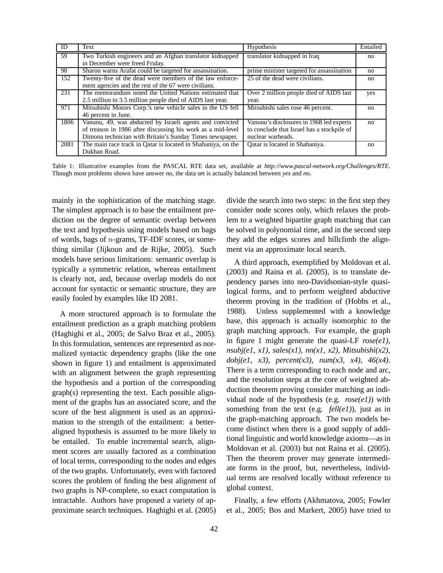| ID   | Text                                                         | <b>Hypothesis</b>                          | Entailed |
|------|--------------------------------------------------------------|--------------------------------------------|----------|
| 59   | Two Turkish engineers and an Afghan translator kidnapped     | translator kidnapped in Iraq               | no       |
|      | in December were freed Friday.                               |                                            |          |
| 98   | Sharon warns Arafat could be targeted for assassination.     | prime minister targeted for assassination  | no       |
| 152  | Twenty-five of the dead were members of the law enforce-     | 25 of the dead were civilians.             | no       |
|      | ment agencies and the rest of the 67 were civilians.         |                                            |          |
| 231  | The memorandum noted the United Nations estimated that       | Over 2 million people died of AIDS last    | yes      |
|      | 2.5 million to 3.5 million people died of AIDS last year.    | year.                                      |          |
| 971  | Mitsubishi Motors Corp.'s new vehicle sales in the US fell   | Mitsubishi sales rose 46 percent.          | no       |
|      | 46 percent in June.                                          |                                            |          |
| 1806 | Vanunu, 49, was abducted by Israeli agents and convicted     | Vanunu's disclosures in 1968 led experts   | no       |
|      | of treason in 1986 after discussing his work as a mid-level  | to conclude that Israel has a stockpile of |          |
|      | Dimona technician with Britain's Sunday Times newspaper.     | nuclear warheads.                          |          |
| 2081 | The main race track in Qatar is located in Shahaniya, on the | Oatar is located in Shahaniya.             | no       |
|      | Dukhan Road.                                                 |                                            |          |

Table 1: Illustrative examples from the PASCAL RTE data set, available at *http://www.pascal-network.org/Challenges/RTE*. Though most problems shown have answer *no*, the data set is actually balanced between *yes* and *no*.

mainly in the sophistication of the matching stage. The simplest approach is to base the entailment prediction on the degree of semantic overlap between the text and hypothesis using models based on bags of words, bags of n-grams, TF-IDF scores, or something similar (Jijkoun and de Rijke, 2005). Such models have serious limitations: semantic overlap is typically a symmetric relation, whereas entailment is clearly not, and, because overlap models do not account for syntactic or semantic structure, they are easily fooled by examples like ID 2081.

A more structured approach is to formulate the entailment prediction as a graph matching problem (Haghighi et al., 2005; de Salvo Braz et al., 2005). In this formulation, sentences are represented as normalized syntactic dependency graphs (like the one shown in figure 1) and entailment is approximated with an alignment between the graph representing the hypothesis and a portion of the corresponding graph(s) representing the text. Each possible alignment of the graphs has an associated score, and the score of the best alignment is used as an approximation to the strength of the entailment: a betteraligned hypothesis is assumed to be more likely to be entailed. To enable incremental search, alignment scores are usually factored as a combination of local terms, corresponding to the nodes and edges of the two graphs. Unfortunately, even with factored scores the problem of finding the best alignment of two graphs is NP-complete, so exact computation is intractable. Authors have proposed a variety of approximate search techniques. Haghighi et al. (2005) divide the search into two steps: in the first step they consider node scores only, which relaxes the problem to a weighted bipartite graph matching that can be solved in polynomial time, and in the second step they add the edges scores and hillclimb the alignment via an approximate local search.

A third approach, exemplified by Moldovan et al. (2003) and Raina et al. (2005), is to translate dependency parses into neo-Davidsonian-style quasilogical forms, and to perform weighted abductive theorem proving in the tradition of (Hobbs et al., 1988). Unless supplemented with a knowledge base, this approach is actually isomorphic to the graph matching approach. For example, the graph in figure 1 might generate the quasi-LF *rose(e1), nsubj(e1, x1), sales(x1), nn(x1, x2), Mitsubishi(x2), dobj(e1, x3), percent(x3), num(x3, x4), 46(x4)*. There is a term corresponding to each node and arc, and the resolution steps at the core of weighted abduction theorem proving consider matching an individual node of the hypothesis (e.g. *rose(e1)*) with something from the text (e.g. *fell(e1)*), just as in the graph-matching approach. The two models become distinct when there is a good supply of additional linguistic and world knowledge axioms—as in Moldovan et al. (2003) but not Raina et al. (2005). Then the theorem prover may generate intermediate forms in the proof, but, nevertheless, individual terms are resolved locally without reference to global context.

Finally, a few efforts (Akhmatova, 2005; Fowler et al., 2005; Bos and Markert, 2005) have tried to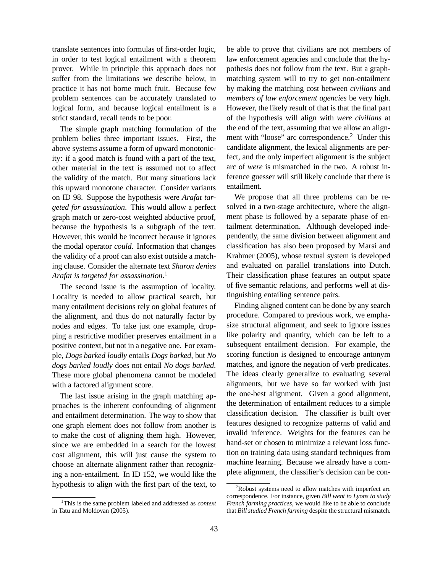translate sentences into formulas of first-order logic, in order to test logical entailment with a theorem prover. While in principle this approach does not suffer from the limitations we describe below, in practice it has not borne much fruit. Because few problem sentences can be accurately translated to logical form, and because logical entailment is a strict standard, recall tends to be poor.

The simple graph matching formulation of the problem belies three important issues. First, the above systems assume a form of upward monotonicity: if a good match is found with a part of the text, other material in the text is assumed not to affect the validity of the match. But many situations lack this upward monotone character. Consider variants on ID 98. Suppose the hypothesis were *Arafat targeted for assassination*. This would allow a perfect graph match or zero-cost weighted abductive proof, because the hypothesis is a subgraph of the text. However, this would be incorrect because it ignores the modal operator *could*. Information that changes the validity of a proof can also exist outside a matching clause. Consider the alternate text *Sharon denies Arafat is targeted for assassination*. 1

The second issue is the assumption of locality. Locality is needed to allow practical search, but many entailment decisions rely on global features of the alignment, and thus do not naturally factor by nodes and edges. To take just one example, dropping a restrictive modifier preserves entailment in a positive context, but not in a negative one. For example, *Dogs barked loudly* entails *Dogs barked*, but *No dogs barked loudly* does not entail *No dogs barked*. These more global phenomena cannot be modeled with a factored alignment score.

The last issue arising in the graph matching approaches is the inherent confounding of alignment and entailment determination. The way to show that one graph element does not follow from another is to make the cost of aligning them high. However, since we are embedded in a search for the lowest cost alignment, this will just cause the system to choose an alternate alignment rather than recognizing a non-entailment. In ID 152, we would like the hypothesis to align with the first part of the text, to be able to prove that civilians are not members of law enforcement agencies and conclude that the hypothesis does not follow from the text. But a graphmatching system will to try to get non-entailment by making the matching cost between *civilians* and *members of law enforcement agencies* be very high. However, the likely result of that is that the final part of the hypothesis will align with *were civilians* at the end of the text, assuming that we allow an alignment with "loose" arc correspondence.<sup>2</sup> Under this candidate alignment, the lexical alignments are perfect, and the only imperfect alignment is the subject arc of *were* is mismatched in the two. A robust inference guesser will still likely conclude that there is entailment.

We propose that all three problems can be resolved in a two-stage architecture, where the alignment phase is followed by a separate phase of entailment determination. Although developed independently, the same division between alignment and classification has also been proposed by Marsi and Krahmer (2005), whose textual system is developed and evaluated on parallel translations into Dutch. Their classification phase features an output space of five semantic relations, and performs well at distinguishing entailing sentence pairs.

Finding aligned content can be done by any search procedure. Compared to previous work, we emphasize structural alignment, and seek to ignore issues like polarity and quantity, which can be left to a subsequent entailment decision. For example, the scoring function is designed to encourage antonym matches, and ignore the negation of verb predicates. The ideas clearly generalize to evaluating several alignments, but we have so far worked with just the one-best alignment. Given a good alignment, the determination of entailment reduces to a simple classification decision. The classifier is built over features designed to recognize patterns of valid and invalid inference. Weights for the features can be hand-set or chosen to minimize a relevant loss function on training data using standard techniques from machine learning. Because we already have a complete alignment, the classifier's decision can be con-

<sup>1</sup>This is the same problem labeled and addressed as *context* in Tatu and Moldovan (2005).

 $2R$ obust systems need to allow matches with imperfect arc correspondence. For instance, given *Bill went to Lyons to study French farming practices*, we would like to be able to conclude that *Bill studied French farming* despite the structural mismatch.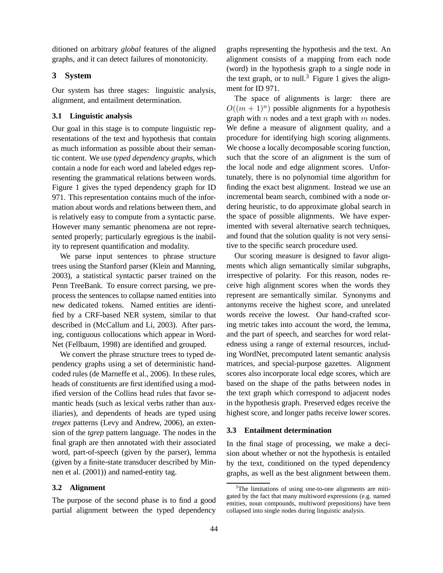ditioned on arbitrary *global* features of the aligned graphs, and it can detect failures of monotonicity.

### **3 System**

Our system has three stages: linguistic analysis, alignment, and entailment determination.

### **3.1 Linguistic analysis**

Our goal in this stage is to compute linguistic representations of the text and hypothesis that contain as much information as possible about their semantic content. We use *typed dependency graphs*, which contain a node for each word and labeled edges representing the grammatical relations between words. Figure 1 gives the typed dependency graph for ID 971. This representation contains much of the information about words and relations between them, and is relatively easy to compute from a syntactic parse. However many semantic phenomena are not represented properly; particularly egregious is the inability to represent quantification and modality.

We parse input sentences to phrase structure trees using the Stanford parser (Klein and Manning, 2003), a statistical syntactic parser trained on the Penn TreeBank. To ensure correct parsing, we preprocess the sentences to collapse named entities into new dedicated tokens. Named entities are identified by a CRF-based NER system, similar to that described in (McCallum and Li, 2003). After parsing, contiguous collocations which appear in Word-Net (Fellbaum, 1998) are identified and grouped.

We convert the phrase structure trees to typed dependency graphs using a set of deterministic handcoded rules (de Marneffe et al., 2006). In these rules, heads of constituents are first identified using a modified version of the Collins head rules that favor semantic heads (such as lexical verbs rather than auxiliaries), and dependents of heads are typed using *tregex* patterns (Levy and Andrew, 2006), an extension of the *tgrep* pattern language. The nodes in the final graph are then annotated with their associated word, part-of-speech (given by the parser), lemma (given by a finite-state transducer described by Minnen et al. (2001)) and named-entity tag.

# **3.2 Alignment**

The purpose of the second phase is to find a good partial alignment between the typed dependency graphs representing the hypothesis and the text. An alignment consists of a mapping from each node (word) in the hypothesis graph to a single node in the text graph, or to null.<sup>3</sup> Figure 1 gives the alignment for ID 971.

The space of alignments is large: there are  $O((m+1)^n)$  possible alignments for a hypothesis graph with  $n$  nodes and a text graph with  $m$  nodes. We define a measure of alignment quality, and a procedure for identifying high scoring alignments. We choose a locally decomposable scoring function, such that the score of an alignment is the sum of the local node and edge alignment scores. Unfortunately, there is no polynomial time algorithm for finding the exact best alignment. Instead we use an incremental beam search, combined with a node ordering heuristic, to do approximate global search in the space of possible alignments. We have experimented with several alternative search techniques, and found that the solution quality is not very sensitive to the specific search procedure used.

Our scoring measure is designed to favor alignments which align semantically similar subgraphs, irrespective of polarity. For this reason, nodes receive high alignment scores when the words they represent are semantically similar. Synonyms and antonyms receive the highest score, and unrelated words receive the lowest. Our hand-crafted scoring metric takes into account the word, the lemma, and the part of speech, and searches for word relatedness using a range of external resources, including WordNet, precomputed latent semantic analysis matrices, and special-purpose gazettes. Alignment scores also incorporate local edge scores, which are based on the shape of the paths between nodes in the text graph which correspond to adjacent nodes in the hypothesis graph. Preserved edges receive the highest score, and longer paths receive lower scores.

#### **3.3 Entailment determination**

In the final stage of processing, we make a decision about whether or not the hypothesis is entailed by the text, conditioned on the typed dependency graphs, as well as the best alignment between them.

<sup>&</sup>lt;sup>3</sup>The limitations of using one-to-one alignments are mitigated by the fact that many multiword expressions (e.g. named entities, noun compounds, multiword prepositions) have been collapsed into single nodes during linguistic analysis.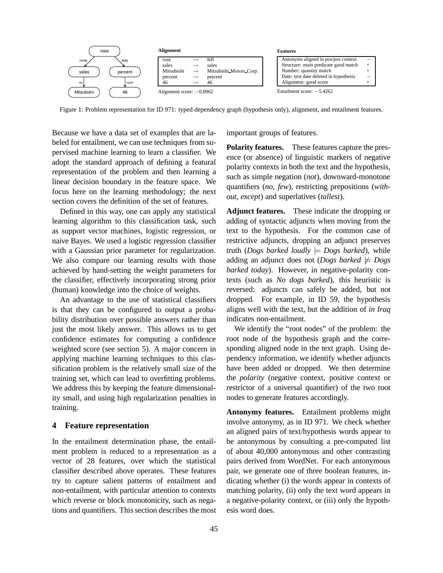

Figure 1: Problem representation for ID 971: typed dependency graph (hypothesis only), alignment, and entailment features.

Because we have a data set of examples that are labeled for entailment, we can use techniques from supervised machine learning to learn a classifier. We adopt the standard approach of defining a featural representation of the problem and then learning a linear decision boundary in the feature space. We focus here on the learning methodology; the next section covers the definition of the set of features.

Defined in this way, one can apply any statistical learning algorithm to this classification task, such as support vector machines, logistic regression, or naive Bayes. We used a logistic regression classifier with a Gaussian prior parameter for regularization. We also compare our learning results with those achieved by hand-setting the weight parameters for the classifier, effectively incorporating strong prior (human) knowledge into the choice of weights.

An advantage to the use of statistical classifiers is that they can be configured to output a probability distribution over possible answers rather than just the most likely answer. This allows us to get confidence estimates for computing a confidence weighted score (see section 5). A major concern in applying machine learning techniques to this classification problem is the relatively small size of the training set, which can lead to overfitting problems. We address this by keeping the feature dimensionality small, and using high regularization penalties in training.

### **4 Feature representation**

In the entailment determination phase, the entailment problem is reduced to a representation as a vector of 28 features, over which the statistical classifier described above operates. These features try to capture salient patterns of entailment and non-entailment, with particular attention to contexts which reverse or block monotonicity, such as negations and quantifiers. This section describes the most important groups of features.

**Polarity features.** These features capture the presence (or absence) of linguistic markers of negative polarity contexts in both the text and the hypothesis, such as simple negation (*not*), downward-monotone quantifiers (*no*, *few*), restricting prepositions (*without*, *except*) and superlatives (*tallest*).

**Adjunct features.** These indicate the dropping or adding of syntactic adjuncts when moving from the text to the hypothesis. For the common case of restrictive adjuncts, dropping an adjunct preserves truth (*Dogs barked loudly*  $\models$  *Dogs barked*), while adding an adjunct does not (*Dogs barked*  $\models$  *Dogs barked today*). However, in negative-polarity contexts (such as *No dogs barked*), this heuristic is reversed: adjuncts can safely be added, but not dropped. For example, in ID 59, the hypothesis aligns well with the text, but the addition of *in Iraq* indicates non-entailment.

We identify the "root nodes" of the problem: the root node of the hypothesis graph and the corresponding aligned node in the text graph. Using dependency information, we identify whether adjuncts have been added or dropped. We then determine the *polarity* (negative context, positive context or restrictor of a universal quantifier) of the two root nodes to generate features accordingly.

**Antonymy features.** Entailment problems might involve antonymy, as in ID 971. We check whether an aligned pairs of text/hypothesis words appear to be antonymous by consulting a pre-computed list of about 40,000 antonymous and other contrasting pairs derived from WordNet. For each antonymous pair, we generate one of three boolean features, indicating whether (i) the words appear in contexts of matching polarity, (ii) only the text word appears in a negative-polarity context, or (iii) only the hypothesis word does.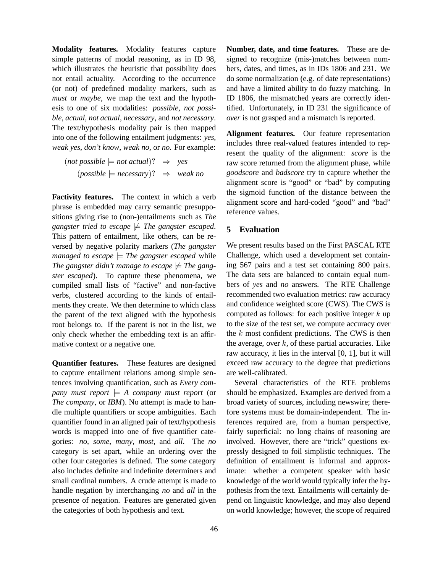**Modality features.** Modality features capture simple patterns of modal reasoning, as in ID 98, which illustrates the heuristic that possibility does not entail actuality. According to the occurrence (or not) of predefined modality markers, such as *must* or *maybe*, we map the text and the hypothesis to one of six modalities: *possible*, *not possible*, *actual*, *not actual*, *necessary*, and *not necessary*. The text/hypothesis modality pair is then mapped into one of the following entailment judgments: *yes*, *weak yes*, *don't know*, *weak no*, or *no*. For example:

(*not possible* |= *not actual*)? ⇒ *yes*  $(possible \models necessary)$ ?  $\Rightarrow$  *weak no* 

**Factivity features.** The context in which a verb phrase is embedded may carry semantic presuppositions giving rise to (non-)entailments such as *The gangster tried to escape*  $\not\models$  *The gangster escaped.* This pattern of entailment, like others, can be reversed by negative polarity markers (*The gangster managed to escape*  $=$  *The gangster escaped* while The gangster didn't manage to escape  $\not\models$  *The gangster escaped*). To capture these phenomena, we compiled small lists of "factive" and non-factive verbs, clustered according to the kinds of entailments they create. We then determine to which class the parent of the text aligned with the hypothesis root belongs to. If the parent is not in the list, we only check whether the embedding text is an affirmative context or a negative one.

**Quantifier features.** These features are designed to capture entailment relations among simple sentences involving quantification, such as *Every company must report*  $\vert$  *A company must report* (or *The company*, or *IBM*). No attempt is made to handle multiple quantifiers or scope ambiguities. Each quantifier found in an aligned pair of text/hypothesis words is mapped into one of five quantifier categories: *no*, *some*, *many*, *most*, and *all*. The *no* category is set apart, while an ordering over the other four categories is defined. The *some* category also includes definite and indefinite determiners and small cardinal numbers. A crude attempt is made to handle negation by interchanging *no* and *all* in the presence of negation. Features are generated given the categories of both hypothesis and text.

**Number, date, and time features.** These are designed to recognize (mis-)matches between numbers, dates, and times, as in IDs 1806 and 231. We do some normalization (e.g. of date representations) and have a limited ability to do fuzzy matching. In ID 1806, the mismatched years are correctly identified. Unfortunately, in ID 231 the significance of *over* is not grasped and a mismatch is reported.

**Alignment features.** Our feature representation includes three real-valued features intended to represent the quality of the alignment: *score* is the raw score returned from the alignment phase, while *goodscore* and *badscore* try to capture whether the alignment score is "good" or "bad" by computing the sigmoid function of the distance between the alignment score and hard-coded "good" and "bad" reference values.

# **5 Evaluation**

We present results based on the First PASCAL RTE Challenge, which used a development set containing 567 pairs and a test set containing 800 pairs. The data sets are balanced to contain equal numbers of *yes* and *no* answers. The RTE Challenge recommended two evaluation metrics: raw accuracy and confidence weighted score (CWS). The CWS is computed as follows: for each positive integer  $k$  up to the size of the test set, we compute accuracy over the  $k$  most confident predictions. The CWS is then the average, over  $k$ , of these partial accuracies. Like raw accuracy, it lies in the interval [0, 1], but it will exceed raw accuracy to the degree that predictions are well-calibrated.

Several characteristics of the RTE problems should be emphasized. Examples are derived from a broad variety of sources, including newswire; therefore systems must be domain-independent. The inferences required are, from a human perspective, fairly superficial: no long chains of reasoning are involved. However, there are "trick" questions expressly designed to foil simplistic techniques. The definition of entailment is informal and approximate: whether a competent speaker with basic knowledge of the world would typically infer the hypothesis from the text. Entailments will certainly depend on linguistic knowledge, and may also depend on world knowledge; however, the scope of required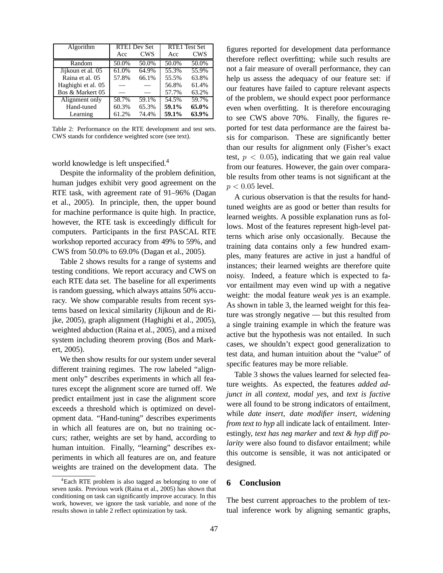| Algorithm          | <b>RTE1 Dev Set</b> |            | <b>RTE1 Test Set</b> |            |
|--------------------|---------------------|------------|----------------------|------------|
|                    | Acc                 | <b>CWS</b> | Acc                  | <b>CWS</b> |
| Random             | 50.0%               | 50.0%      | 50.0%                | 50.0%      |
| Jijkoun et al. 05  | 61.0%               | 64.9%      | 55.3%                | 55.9%      |
| Raina et al. 05    | 57.8%               | 66.1%      | 55.5%                | 63.8%      |
| Haghighi et al. 05 |                     |            | 56.8%                | 61.4%      |
| Bos & Markert 05   |                     |            | 57.7%                | 63.2%      |
| Alignment only     | 58.7%               | 59.1%      | 54.5%                | 59.7%      |
| Hand-tuned         | 60.3%               | 65.3%      | 59.1%                | 65.0%      |
| Learning           | 61.2%               | 74.4%      | 59.1%                | 63.9%      |

Table 2: Performance on the RTE development and test sets. CWS stands for confidence weighted score (see text).

world knowledge is left unspecified.<sup>4</sup>

Despite the informality of the problem definition, human judges exhibit very good agreement on the RTE task, with agreement rate of 91–96% (Dagan et al., 2005). In principle, then, the upper bound for machine performance is quite high. In practice, however, the RTE task is exceedingly difficult for computers. Participants in the first PASCAL RTE workshop reported accuracy from 49% to 59%, and CWS from 50.0% to 69.0% (Dagan et al., 2005).

Table 2 shows results for a range of systems and testing conditions. We report accuracy and CWS on each RTE data set. The baseline for all experiments is random guessing, which always attains 50% accuracy. We show comparable results from recent systems based on lexical similarity (Jijkoun and de Rijke, 2005), graph alignment (Haghighi et al., 2005), weighted abduction (Raina et al., 2005), and a mixed system including theorem proving (Bos and Markert, 2005).

We then show results for our system under several different training regimes. The row labeled "alignment only" describes experiments in which all features except the alignment score are turned off. We predict entailment just in case the alignment score exceeds a threshold which is optimized on development data. "Hand-tuning" describes experiments in which all features are on, but no training occurs; rather, weights are set by hand, according to human intuition. Finally, "learning" describes experiments in which all features are on, and feature weights are trained on the development data. The figures reported for development data performance therefore reflect overfitting; while such results are not a fair measure of overall performance, they can help us assess the adequacy of our feature set: if our features have failed to capture relevant aspects of the problem, we should expect poor performance even when overfitting. It is therefore encouraging to see CWS above 70%. Finally, the figures reported for test data performance are the fairest basis for comparison. These are significantly better than our results for alignment only (Fisher's exact test,  $p < 0.05$ ), indicating that we gain real value from our features. However, the gain over comparable results from other teams is not significant at the  $p < 0.05$  level.

A curious observation is that the results for handtuned weights are as good or better than results for learned weights. A possible explanation runs as follows. Most of the features represent high-level patterns which arise only occasionally. Because the training data contains only a few hundred examples, many features are active in just a handful of instances; their learned weights are therefore quite noisy. Indeed, a feature which is expected to favor entailment may even wind up with a negative weight: the modal feature *weak yes* is an example. As shown in table 3, the learned weight for this feature was strongly negative — but this resulted from a single training example in which the feature was active but the hypothesis was not entailed. In such cases, we shouldn't expect good generalization to test data, and human intuition about the "value" of specific features may be more reliable.

Table 3 shows the values learned for selected feature weights. As expected, the features *added adjunct in* all *context*, *modal yes*, and *text is factive* were all found to be strong indicators of entailment, while *date insert*, *date modifier insert*, *widening from text to hyp* all indicate lack of entailment. Interestingly, *text has neg marker* and *text & hyp diff polarity* were also found to disfavor entailment; while this outcome is sensible, it was not anticipated or designed.

### **6 Conclusion**

The best current approaches to the problem of textual inference work by aligning semantic graphs,

<sup>&</sup>lt;sup>4</sup>Each RTE problem is also tagged as belonging to one of seven *tasks*. Previous work (Raina et al., 2005) has shown that conditioning on task can significantly improve accuracy. In this work, however, we ignore the task variable, and none of the results shown in table 2 reflect optimization by task.